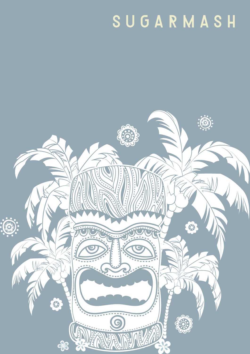# SUGARMASH

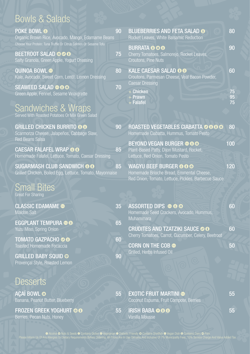## Bowls & Salads

| <b>POKE BOWL O</b><br>Organic Brown Rice, Avocado, Mango, Edamame Beans                                                                       | 90 | <b>BLUEBERRIES AND FETA SALAD O</b><br>Rocket Leaves, White Balsamic Reduction                                             | 80             |
|-----------------------------------------------------------------------------------------------------------------------------------------------|----|----------------------------------------------------------------------------------------------------------------------------|----------------|
| Choose Your Protein: Tuna Truffle Or Citrus Salmon Or Sesame Tofu<br><b>BEETROOT SALAD OOO</b><br>Salty Granola, Green Apple, Yogurt Dressing | 75 | <b>BURRATA OOO</b><br>Cherry Tomatoes, Salmorejo, Rocket Leaves,<br>Croutons, Pine Nuts                                    | 90             |
| <b>QUINOA BOWL @</b><br>Kale, Avocado, Sweet Corn, Lentil, Lemon Dressing                                                                     | 80 | KALE CAESAR SALAD O O<br>Croutons, Parmesan Cheese, Veal Bacon Powder,<br><b>Caesar Dressing</b>                           | 60             |
| <b>SEAWEED SALAD @@@</b><br>Green Apple, Fennel, Sesame Vinaigrette                                                                           | 70 | <b>E Chicken</b><br>+ Prawn<br>+ Falafel                                                                                   | 75<br>95<br>75 |
| <b>Sandwiches &amp; Wraps</b><br>Served With Roasted Potatoes Or Mix Green Salad                                                              |    |                                                                                                                            |                |
| <b>GRILLED CHICKEN BURRITO OO</b><br>Scarmorza Cheese, Jalapeños, Cabbage Slaw,<br><b>Red Beans Salsa</b>                                     | 90 | ROASTED VEGETABLES CIABATTA OOOO<br>Homemade Ciabatta, Hummus, Tomato Pesto                                                | 80             |
| <b>CAESAR FALAFEL WRAP OO</b><br>Homemade Falafel, Lettuce, Tomato, Caesar Dressing                                                           | 85 | <b>BEYOND VEGAN BURGER @@@</b><br>Plant-Based Patty, Dijon Mustard, Rocket,<br>Lettuce, Red Onion, Tomato Pesto            | 100            |
| SUGARMASH CLUB SANDWICH @ O<br>Grilled Chicken, Boiled Egg, Lettuce, Tomato, Mayonnaise                                                       | 85 | WAGYU BEEF BURGER @ O @<br>Homemade Brioche Bread, Emmental Cheese,<br>Red Onion, Tomato, Lettuce, Pickles, Barbecue Sauce | 120            |
| <b>Small Bites</b><br><b>Great For Sharing</b>                                                                                                |    |                                                                                                                            |                |
| <b>CLASSIC EDAMAME ®</b><br><b>Maldon Salt</b>                                                                                                | 35 | <b>ASSORTED DIPS @ @ @</b><br>Homemade Seed Crackers, Avocado, Hummus,<br>Muhammara                                        | 60             |
| <b>EGGPLANT TEMPURA @@</b><br>Yuzu Miso, Spring Onion                                                                                         | 65 | <b>CRUDITES AND TZATZIKI SAUCE OO</b><br>Cherry Tomatoes, Carrot, Cucumber, Celery, Beetroot                               | 60             |
| <b>TOMATO GAZPACHO O O</b><br>Toasted Homemade Focaccia                                                                                       | 60 | <b>CORN ON THE COB ®</b>                                                                                                   | 50             |
| <b>GRILLED BABY SQUID ®</b><br>Provençal Style, Roasted Lemon                                                                                 | 90 | Grilled, Herbs Infused Oil                                                                                                 |                |
| <b>Desserts</b>                                                                                                                               |    |                                                                                                                            |                |
| <b>AÇAÍ BOWL ®</b><br>Banana, Peanut Butter, Blueberry                                                                                        | 55 | <b>EXOTIC FRUIT MARTINI ®</b><br>Coconut Espuma, Fruit Compote, Berries                                                    | 55             |
| <b>FROZEN GREEK YOGHURT OO</b><br>Berries, Pecan Nuts, Honey                                                                                  | 55 | <b>IRISH BABA @O@</b><br>Vanilla Mousse                                                                                    | 55             |

 Alcohol Nuts & Seeds Contains Gluten Vegetarian Diabetic Friendly Contains Shellfish Vegan Dish Contains Dairy Pork Please Inform Us Of Any Allergies Or Dietary Requirements Before Ordering. All Prices Are In Uae Dirhams And Inclusive Of 7% Municipality Fees, 10% Service Charge And Value Added Tax.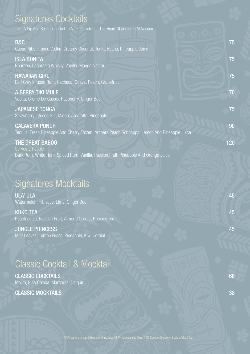| <b>Signatures Cocktails</b>                                                                                            |     |
|------------------------------------------------------------------------------------------------------------------------|-----|
| Take A Sip And Be Transported To A Tiki Paradise In The Heart Of Jumerah Al Naseem.                                    |     |
| <b>B&amp;C</b>                                                                                                         | 75  |
| Cacao Nibs Infused Vodka, Creamy Coconut, Tonka Beans, Pineapple Juice                                                 |     |
| <b>ISLA BONITA</b>                                                                                                     | 75  |
| Bourbon, Laphroaig Whisky, Vanilla, Mango Nectar<br><b>HAWAIIAN GIRL</b>                                               | 75  |
| Earl Grey Infused Rum, Cachaca, Guava, Peach, Grapefruit                                                               |     |
| <b>A BERRY TIKI MULE</b><br>Vodka, Creme De Cassis, Raspberry, Ginger Beer                                             | 70  |
| <b>JAPANESE TONGA</b><br>Strawberry Infused Gin, Midori, Amaretto, Pineapple                                           | 75  |
| <b>CALAVERA PUNCH</b><br>Tequila, Fresh Pineapple And Cherry Frozen, Archers Peach Schnapps, Lemon And Pineapple Juice | 90  |
| <b>THE GREAT BABOO</b><br>Serves 2 People                                                                              | 120 |
| Dark Rum, White Rum, Spiced Rum, Vanilla, Passion Fruit, Pineapple And Orange Juice                                    |     |
|                                                                                                                        |     |
|                                                                                                                        |     |
| <b>Signatures Mocktails</b>                                                                                            |     |
| <b>ULA' ULA</b><br>Watermelon, Hibiscus, Lime, Ginger Beer                                                             | 45  |
| <b>KUKO TEA</b><br>Peach Juice, Passion Fruit, Almond Orgeat, Rooibos Tea                                              | 45  |
| <b>JUNGLE PRINCESS</b>                                                                                                 | 45  |
| Mint Leaves, Lemon Grass, Pineapple, Kiwi Cordial                                                                      |     |
|                                                                                                                        |     |
| <b>Classic Cocktail &amp; Mocktail</b>                                                                                 |     |
| <b>CLASSIC COCKTAILS</b>                                                                                               | 68  |
| Mojito, Pina Colada, Margarita, Daiquiri                                                                               |     |

CLASSIC MOCKTAILS 38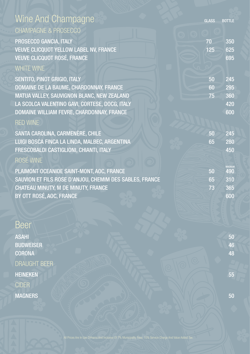| Wine And Champagne                                      | <b>GLASS</b> | <b>BOTTLE</b>        |
|---------------------------------------------------------|--------------|----------------------|
| <b>CHAMPAGNE &amp; PROSECCO</b>                         |              |                      |
| PROSECCO GANCIA, ITALY                                  | 70           | 350                  |
| <b>VEUVE CLICQUOT YELLOW LABEL NV, FRANCE</b>           | 125          | 625                  |
| <b>VEUVE CLICQUOT ROSÉ, FRANCE</b>                      |              | 695                  |
| <b>WHITE WINE</b>                                       |              |                      |
| SENTITO, PINOT GRIGIO, ITALY                            | 50           | 245                  |
| DOMAINE DE LA BAUME, CHARDONNAY, FRANCE                 | 60           | 295                  |
| MATUA VALLEY, SAUVIGNON BLANC, NEW ZEALAND              | 75           | 360                  |
| LA SCOLCA VALENTINO GAVI, CORTESE, DOCG, ITALY          |              | 420                  |
| DOMAINE WILLIAM FEVRE, CHARDONNAY, FRANCE               |              | 600                  |
| <b>RED WINE</b>                                         |              |                      |
| SANTA CAROLINA, CARMENÈRE, CHILE                        | 50           | 245                  |
| LUIGI BOSCA FINCA LA LINDA, MALBEC, ARGENTINA           | 65           | 280                  |
| FRESCOBALDI CASTIGLIONI, CHIANTI, ITALY                 |              | 450                  |
| ROSÉ WINE                                               |              |                      |
| PLAIMONT OCEANIDE SAINT-MONT, AOC, FRANCE               | 50           | <b>MAGNUM</b><br>490 |
| SAUVION ET FILS ROSE D'ANJOU, CHEMIM DES SABLES, FRANCE | 65           | 310                  |
| CHATEAU MINUTY, M DE MINUTY, FRANCE                     | 73           | 365                  |
| BY OTT ROSÉ, AOC, FRANCE                                |              | 600                  |
|                                                         |              |                      |

#### Beer

ASAHI 50 BUDWEISER 46 CORONA 48 DRAUGHT BEER HEINEKEN 55 CIDER MAGNERS SUPERSETTED AND SOLVEY AND SOLVEY AND SOLVEY AND SOLVEY AND SOLVEY AND SOLVEY AND SOLVEY AND SOLVEY AND SOLVEY AND SOLVEY AND SOLVEY AND SOLVEY AND SOLVEY AND SOLVEY AND SOLVEY AND SOLVEY AND SOLVEY AND SOLVEY AND